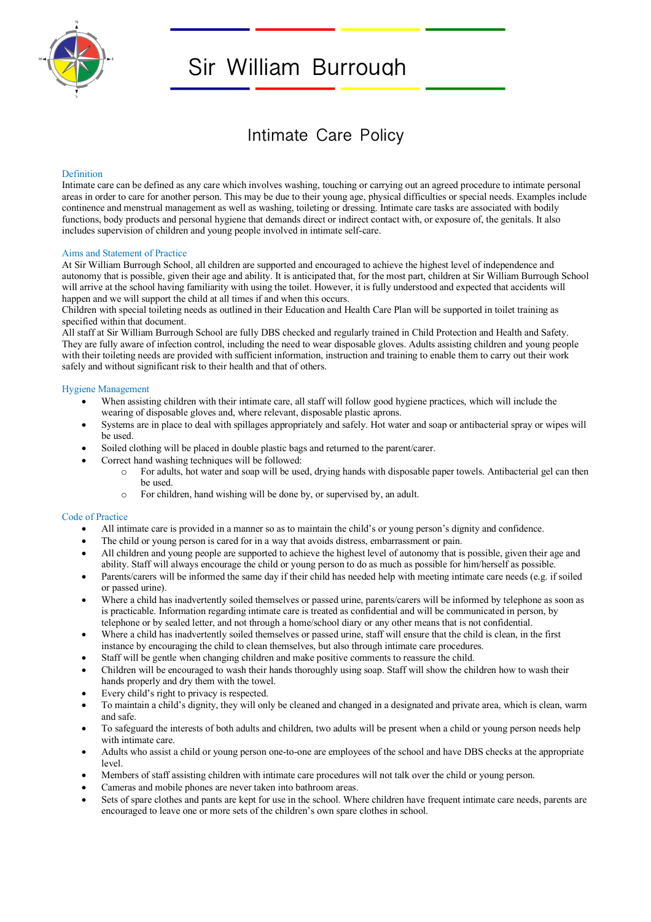

# Sir William Burrough

# Intimate Care Policy

## Definition

Intimate care can be defined as any care which involves washing, touching or carrying out an agreed procedure to intimate personal areas in order to care for another person. This may be due to their young age, physical difficulties or special needs. Examples include continence and menstrual management as well as washing, toileting or dressing. Intimate care tasks are associated with bodily functions, body products and personal hygiene that demands direct or indirect contact with, or exposure of, the genitals. It also includes supervision of children and young people involved in intimate self-care.

#### Aims and Statement of Practice

At Sir William Burrough School, all children are supported and encouraged to achieve the highest level of independence and autonomy that is possible, given their age and ability. It is anticipated that, for the most part, children at Sir William Burrough School will arrive at the school having familiarity with using the toilet. However, it is fully understood and expected that accidents will happen and we will support the child at all times if and when this occurs.

Children with special toileting needs as outlined in their Education and Health Care Plan will be supported in toilet training as specified within that document.

All staff at Sir William Burrough School are fully DBS checked and regularly trained in Child Protection and Health and Safety. They are fully aware of infection control, including the need to wear disposable gloves. Adults assisting children and young people with their toileting needs are provided with sufficient information, instruction and training to enable them to carry out their work safely and without significant risk to their health and that of others.

#### Hygiene Management

- When assisting children with their intimate care, all staff will follow good hygiene practices, which will include the wearing of disposable gloves and, where relevant, disposable plastic aprons.
- Systems are in place to deal with spillages appropriately and safely. Hot water and soap or antibacterial spray or wipes will be used.
- Soiled clothing will be placed in double plastic bags and returned to the parent/carer.
- Correct hand washing techniques will be followed:
	- o For adults, hot water and soap will be used, drying hands with disposable paper towels. Antibacterial gel can then be used.
		- o For children, hand wishing will be done by, or supervised by, an adult.

#### Code of Practice

- All intimate care is provided in a manner so as to maintain the child's or young person's dignity and confidence.
- The child or young person is cared for in a way that avoids distress, embarrassment or pain.
- All children and young people are supported to achieve the highest level of autonomy that is possible, given their age and ability. Staff will always encourage the child or young person to do as much as possible for him/herself as possible.
- Parents/carers will be informed the same day if their child has needed help with meeting intimate care needs (e.g. if soiled or passed urine).
- Where a child has inadvertently soiled themselves or passed urine, parents/carers will be informed by telephone as soon as is practicable. Information regarding intimate care is treated as confidential and will be communicated in person, by telephone or by sealed letter, and not through a home/school diary or any other means that is not confidential.
- Where a child has inadvertently soiled themselves or passed urine, staff will ensure that the child is clean, in the first instance by encouraging the child to clean themselves, but also through intimate care procedures.
- Staff will be gentle when changing children and make positive comments to reassure the child.
- Children will be encouraged to wash their hands thoroughly using soap. Staff will show the children how to wash their hands properly and dry them with the towel.
- Every child's right to privacy is respected.
- To maintain a child's dignity, they will only be cleaned and changed in a designated and private area, which is clean, warm and safe.
- To safeguard the interests of both adults and children, two adults will be present when a child or young person needs help with intimate care.
- Adults who assist a child or young person one-to-one are employees of the school and have DBS checks at the appropriate level.
- Members of staff assisting children with intimate care procedures will not talk over the child or young person.
- Cameras and mobile phones are never taken into bathroom areas.
- Sets of spare clothes and pants are kept for use in the school. Where children have frequent intimate care needs, parents are encouraged to leave one or more sets of the children's own spare clothes in school.